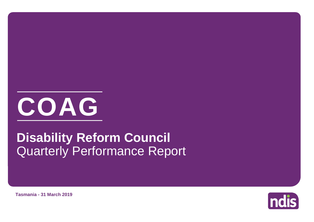

# Quarterly Performance Report **Disability Reform Council**

**Tasmania - 31 March 2019**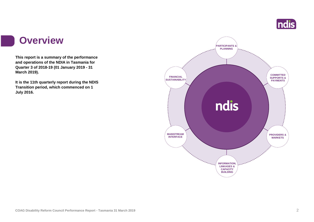

#### **Overview**

ha a

**This report is a summary of the performance and operations of the NDIA in Tasmania for Quarter 3 of 2018-19 (01 January 2019 - 31 March 2019).**

**It is the 11th quarterly report during the NDIS Transition period, which commenced on 1 July 2016.** 

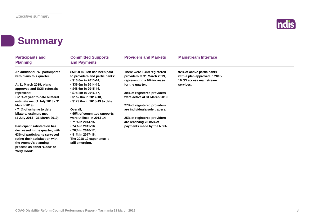

#### **Summary**

| <b>Participants and</b><br><b>Planning</b>                                                                                             | <b>Committed Supports</b><br>and Payments                                                     | <b>Providers and Markets</b>                                 | <b>Mainstream Interface</b>                                 |
|----------------------------------------------------------------------------------------------------------------------------------------|-----------------------------------------------------------------------------------------------|--------------------------------------------------------------|-------------------------------------------------------------|
| An additional 740 participants<br>with plans this quarter.                                                                             | \$505.0 million has been paid<br>to providers and participants:                               | There were 1,459 registered<br>providers at 31 March 2019,   | 92% of active participants<br>with a plan approved in 2018- |
| At 31 March 2019, plans<br>approved and ECEI referrals                                                                                 | $\cdot$ \$10.0m in 2013-14,<br>• \$36.6m in 2014-15,<br>$\cdot$ \$48.6m in 2015-16,           | representing a 9% increase<br>for the quarter.               | 19 Q3 access mainstream<br>services.                        |
| represent:<br>• 51% of year to date bilateral<br>estimate met (1 July 2018 - 31                                                        | $\cdot$ \$78.2m in 2016-17,<br>$\cdot$ \$152.0m in 2017-18,<br>• \$179.6m in 2018-19 to date. | 30% of registered providers<br>were active at 31 March 2019. |                                                             |
| <b>March 2019)</b><br>•71% of scheme to date                                                                                           | Overall,                                                                                      | 27% of registered providers<br>are individuals/sole traders. |                                                             |
| bilateral estimate met<br>(1 July 2013 - 31 March 2019)                                                                                | • 55% of committed supports<br>were utilised in 2013-14,<br>• 71% in 2014-15,                 | 25% of registered providers<br>are receiving 75-85% of       |                                                             |
| <b>Participant satisfaction has</b><br>decreased in the quarter, with                                                                  | • 74% in 2015-16,<br>• 78% in 2016-17,<br>• 81% in 2017-18.                                   | payments made by the NDIA.                                   |                                                             |
| 63% of participants surveyed<br>rating their satisfaction with<br>the Agency's planning<br>process as either 'Good' or<br>'Very Good'. | The 2018-19 experience is<br>still emerging.                                                  |                                                              |                                                             |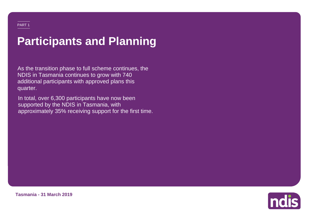# **Participants and Planning**

As the transition phase to full scheme continues, the NDIS in Tasmania continues to grow with 740 additional participants with approved plans this quarter.

In total, over 6,300 participants have now been supported by the NDIS in Tasmania, with approximately 35% receiving support for the first time.



**Tasmania - 31 March 2019**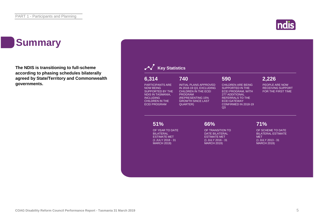### **Summary**

**The NDIS is transitioning to full-scheme according to phasing schedules bilaterally agreed by State/Territory and Commonwealth governments.**



**Indis**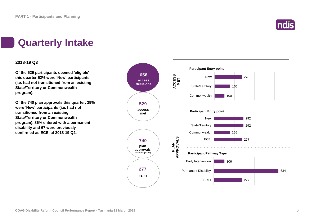

### **Quarterly Intake**

#### **2018-19 Q3**

**Of the 529 participants deemed 'eligible' this quarter 52% were 'New' participants (i.e. had not transitioned from an existing State/Territory or Commonwealth program).**

**Of the 740 plan approvals this quarter, 39% were 'New' participants (i.e. had not transitioned from an existing State/Territory or Commonwealth program), 86% entered with a permanent disability and 67 were previously confirmed as ECEI at 2018-19 Q2.**

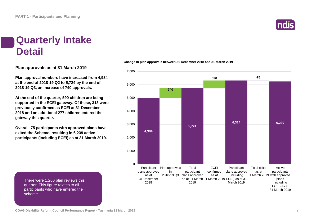

#### **Quarterly Intake Detail**

**Plan approvals as at 31 March 2019**

**Plan approval numbers have increased from 4,984 at the end of 2018-19 Q2 to 5,724 by the end of 2018-19 Q3, an increase of 740 approvals.**

**At the end of the quarter, 590 children are being supported in the ECEI gateway. Of these, 313 were previously confirmed as ECEI at 31 December 2018 and an additional 277 children entered the gateway this quarter.**

**Overall, 75 participants with approved plans have exited the Scheme, resulting in 6,239 active participants (including ECEI) as at 31 March 2019.** **Change in plan approvals between 31 December 2018 and 31 March 2019**



There were 1,266 plan reviews this quarter. This figure relates to all participants who have entered the scheme.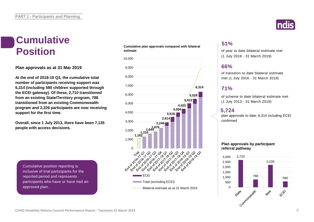# **Cumulative**

**Plan approvals as at 31 Mar 2019**

**At the end of 2018-19 Q3, the cumulative total number of participants receiving support was 6,314 (including 590 children supported through the ECEI gateway). Of these, 2,710 transitioned from an existing State/Territory program, 788 transitioned from an existing Commonwealth program and 2,226 participants are now receiving support for the first time.**

**Overall, since 1 July 2013, there have been 7,135 people with access decisions.**

Cumulative position reporting is inclusive of trial participants for the reported period and represents participants who have or have had an approved plan.

#### **Cumulative plan approvals compared with bilateral estimate Position** estimate plan approvals compared with bilateral of year to date bilateral estimate met



#### **51%**

(1 July 2018 - 31 March 2019)

#### **66%**

of transition to date bilateral estimate met (1 July 2016 - 31 March 2019)

#### **71%**

of scheme to date bilateral estimate met (1 July 2013 - 31 March 2019)

#### **5,724**

plan approvals to date; 6,314 including ECEI confirmed

#### **Plan approvals by participant referral pathway**

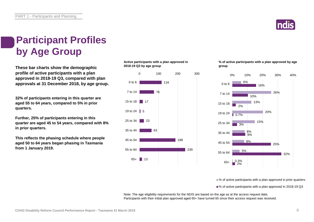

### **Participant Profiles by Age Group**

**These bar charts show the demographic profile of active participants with a plan approved in 2018-19 Q3, compared with plan approvals at 31 December 2018, by age group.**

**32% of participants entering in this quarter are aged 55 to 64 years, compared to 5% in prior quarters.**

**Further, 25% of participants entering in this quarter are aged 45 to 54 years, compared with 8% in prior quarters.**

**This reflects the phasing schedule where people aged 50 to 64 years began phasing in Tasmania from 1 January 2019.**

**Active participants with a plan approved in 2018-19 Q3 by age group**



**% of active participants with a plan approved by age group**



■% of active participants with a plan approved in prior quarters

■% of active participants with a plan approved in 2018-19 Q3

Note: The age eligibility requirements for the NDIS are based on the age as at the access request date. Participants with their initial plan approved aged 65+ have turned 65 since their access request was received.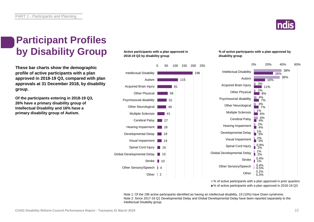

38% 36%

26%

0% 20% 40% 60%

16%

11%

8%  $\overline{7\%}$  $\overline{7\%}$  $\blacksquare$  6%  $4\frac{6}{9}$ 4%

### **Participant Profiles by Disability Group**

**These bar charts show the demographic profile of active participants with a plan approved in 2018-19 Q3, compared with plan approvals at 31 December 2018, by disability group.**

**Of the participants entering in 2018-19 Q3, 26% have a primary disability group of Intellectual Disability and 16% have a primary disability group of Autism.**

#### **Active participants with a plan approved in 2018-19 Q3 by disability group**



#### **% of active participants with a plan approved by disability group**

Autism

Other Physical

Other Neurological Multiple Sclerosis Cerebral Palsy

Hearing Impairment

Visual Impairment Spinal Cord Injury

**Stroke** 

**Other** 

3% 2% 4% 3% 1%

> 6% 2%

1% 3% 2% 3% 0.9% 2% 1% 0.4% 0.4% 0.2%

2% 1% 0.5% 0.3%



Note 1: Of the 196 active participants identified as having an intellectual disability, 19 (10%) have Down syndrome. Note 2: Since 2017-18 Q1 Developmental Delay and Global Developmental Delay have been reported separately to the Intellectual Disability group.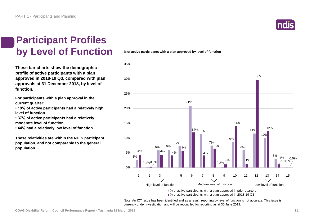#### **Participant Profiles by Level of Function**

**These bar charts show the demographic profile of active participants with a plan approved in 2018-19 Q3, compared with plan approvals at 31 December 2018, by level of function.**

**For participants with a plan approval in the current quarter:** 

**• 19% of active participants had a relatively high level of function**

**• 37% of active participants had a relatively moderate level of function** 

**• 44% had a relatively low level of function**

**These relativities are within the NDIS participant population, and not comparable to the general population.**

**% of active participants with a plan approved by level of function**



Note: An ICT issue has been identified and as a result, reporting by level of function is not accurate. This issue is currently under investigation and will be reconciled for reporting as at 30 June 2019.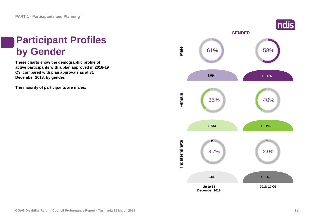# **Participant Profiles**

**These charts show the demographic profile of active participants with a plan approved in 2018-19 Q3, compared with plan approvals as at 31 December 2018, by gender.**

**The majority of participants are males.**

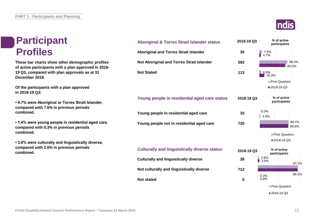### **Participant Profiles**

**These bar charts show other demographic profiles of active participants with a plan approved in 2018- 19 Q3, compared with plan approvals as at 31 December 2018.**

**Of the participants with a plan approved in 2018-19 Q3:**

**• 4.7% were Aboriginal or Torres Strait Islander, compared with 7.6% in previous periods combined.**

**• 1.4% were young people in residential aged care, compared with 0.3% in previous periods combined.**

**• 3.8% were culturally and linguistically diverse, compared with 2.6% in previous periods combined.**



| <b>Aboriginal &amp; Torres Strait Islander status</b> | 2018-19 Q3  | % of active<br>participants |
|-------------------------------------------------------|-------------|-----------------------------|
| <b>Aboriginal and Torres Strait Islander</b>          | 35          | 7.6%<br>4.7%                |
| Not Aboriginal and Torres Strait Islander             | 592         | 86.4%<br>80.0%              |
| <b>Not Stated</b>                                     | 113         | 6.0%<br>15.3%               |
|                                                       |             | Prior Quarters              |
|                                                       |             | ■2018-19 Q3                 |
| Young people in residential aged care status          | 2018-19 Q3  | % of active<br>participants |
| Young people in residential aged care                 | 10          | 0.3%<br>1.4%                |
| Young people not in residential aged care             | 730         | 99.7%<br>98.6%              |
|                                                       |             | Prior Quarters              |
|                                                       |             | ■ 2018-19 Q3                |
| <b>Culturally and linguistically diverse status</b>   | 2018-19 Q3  | % of active<br>participants |
| <b>Culturally and linguistically diverse</b>          | 28          | 2.6%<br>3.8%<br>97.1%       |
| Not culturally and linguistically diverse             | 712         |                             |
| <b>Not stated</b>                                     | $\mathbf 0$ | 96.2%<br>0.3%<br>0.0%       |
|                                                       |             | Prior Quarters              |
|                                                       |             | ■ 2018-19 Q3                |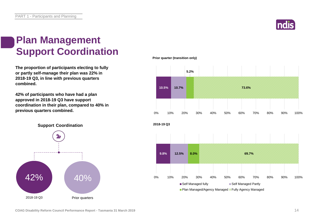

### **Plan Management Support Coordination**

**The proportion of participants electing to fully or partly self-manage their plan was 22% in 2018-19 Q3, in line with previous quarters combined.**

**42% of participants who have had a plan approved in 2018-19 Q3 have support coordination in their plan, compared to 40% in previous quarters combined.**



**Prior quarter (transition only)**

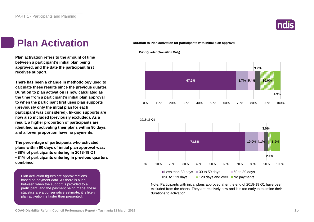

#### **Plan Activation Duration to Plan activation for participants with initial plan approval**

**Plan activation refers to the amount of time between a participant's initial plan being approved, and the date the participant first receives support.**

**There has been a change in methodology used to calculate these results since the previous quarter. Duration to plan activation is now calculated as the time from a participant's initial plan approval to when the participant first uses plan supports (previously only the initial plan for each participant was considered). In-kind supports are now also included (previously excluded). As a result, a higher proportion of participants are identified as activating their plans within 90 days, and a lower proportion have no payments.**

**The percentage of participants who activated plans within 90 days of initial plan approval was: • 88% of participants entering in 2018-19 Q1 • 81% of participants entering in previous quarters combined**

Plan activation figures are approximations based on payment data. As there is a lag between when the support is provided to a participant, and the payment being made, these statistics are a conservative estimate; it is likely plan activation is faster than presented.

**Prior Quarter (Transition Only)**



Note: Participants with initial plans approved after the end of 2018-19 Q1 have been excluded from the charts. They are relatively new and it is too early to examine their durations to activation.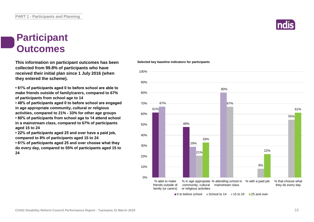### **Participant Outcomes**

**This information on participant outcomes has been Selected key baseline indicators for participants collected from 99.8% of participants who have received their initial plan since 1 July 2016 (when they entered the scheme).**

**• 61% of participants aged 0 to before school are able to make friends outside of family/carers, compared to 67% of participants from school age to 14**

**• 48% of participants aged 0 to before school are engaged in age appropriate community, cultural or religious activities, compared to 21% - 33% for other age groups • 80% of participants from school age to 14 attend school in a mainstream class, compared to 67% of participants** 

**aged 15 to 24**

**• 22% of participants aged 25 and over have a paid job, compared to 8% of participants aged 15 to 24**

**• 61% of participants aged 25 and over choose what they do every day, compared to 55% of participants aged 15 to 24**

#### 80% 80% 90% 100%



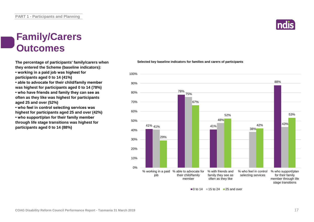### **Family/Carers Outcomes**

**The percentage of participants' family/carers when they entered the Scheme (baseline indicators):**

**• working in a paid job was highest for participants aged 0 to 14 (41%)**

**• able to advocate for their child/family member was highest for participants aged 0 to 14 (78%) • who have friends and family they can see as often as they like was highest for participants aged 25 and over (52%)**

**• who feel in control selecting services was highest for participants aged 25 and over (42%) • who support/plan for their family member through life stage transitions was highest for participants aged 0 to 14 (88%)**

#### **Selected key baseline indicators for families and carers of participants**



 $\Box$  0 to 14  $\Box$  15 to 24  $\Box$  25 and over

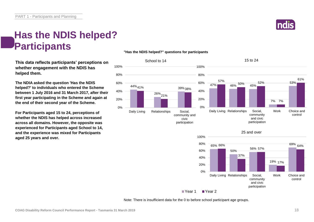

### **Has the NDIS helped? Participants**

**This data reflects participants' perceptions on whether engagement with the NDIS has helped them.**

**The NDIA asked the question 'Has the NDIS helped?' to individuals who entered the Scheme between 1 July 2016 and 31 March 2017, after their first year participating in the Scheme and again at the end of their second year of the Scheme.**

**For Participants aged 15 to 24, perceptions of whether the NDIS has helped across increased across all domains. However, the opposite was experienced for Participants aged School to 14, and the experience was mixed for Participants aged 25 years and over.**

#### **"Has the NDIS helped?" questions for participants**





Year 1 Year 2

Note: There is insufficient data for the 0 to before school participant age groups.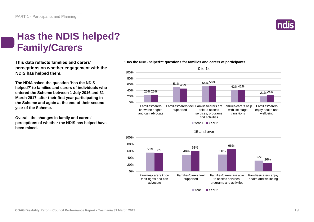

#### **Has the NDIS helped? Family/Carers**

**This data reflects families and carers' perceptions on whether engagement with the NDIS has helped them.**

**The NDIA asked the question 'Has the NDIS helped?' to families and carers of individuals who entered the Scheme between 1 July 2016 and 31 March 2017, after their first year participating in the Scheme and again at the end of their second year of the Scheme.**

**Overall, the changes in family and carers' perceptions of whether the NDIS has helped have been mixed.**

#### **"Has the NDIS helped?" questions for families and carers of participants**



Year 1 Year 2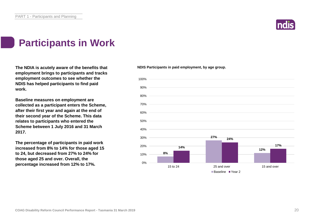

### **Participants in Work**

**The NDIA is acutely aware of the benefits that employment brings to participants and tracks employment outcomes to see whether the NDIS has helped participants to find paid work.**

**Baseline measures on employment are collected as a participant enters the Scheme, after their first year and again at the end of their second year of the Scheme. This data relates to participants who entered the Scheme between 1 July 2016 and 31 March 2017.**

**The percentage of participants in paid work increased from 8% to 14% for those aged 15 to 24, but decreased from 27% to 24% for those aged 25 and over. Overall, the percentage increased from 12% to 17%.**

**NDIS Participants in paid employment, by age group.**

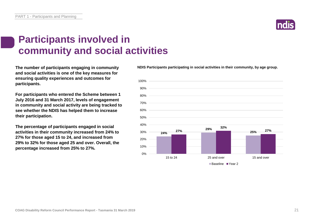

### **Participants involved in community and social activities**

**and social activities is one of the key measures for ensuring quality experiences and outcomes for participants.**

**For participants who entered the Scheme between 1 July 2016 and 31 March 2017, levels of engagement in community and social activity are being tracked to see whether the NDIS has helped them to increase their participation.**

**The percentage of participants engaged in social activities in their community increased from 24% to 27% for those aged 15 to 24, and increased from 29% to 32% for those aged 25 and over. Overall, the percentage increased from 25% to 27%.**

**The number of participants engaging in community NDIS Participants participating in social activities in their community, by age group.**

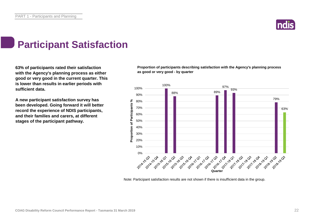

### **Participant Satisfaction**

**63% of participants rated their satisfaction with the Agency's planning process as either good or very good in the current quarter. This is lower than results in earlier periods with sufficient data.** 

**A new participant satisfaction survey has been developed. Going forward it will better record the experience of NDIS participants, and their families and carers, at different stages of the participant pathway.**

**Proportion of participants describing satisfaction with the Agency's planning process as good or very good - by quarter**



Note: Participant satisfaction results are not shown if there is insufficient data in the group.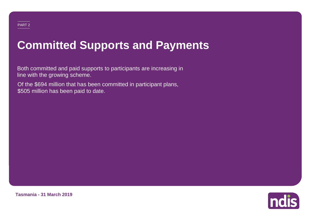## **Committed Supports and Payments**

Both committed and paid supports to participants are increasing in line with the growing scheme.

Of the \$694 million that has been committed in participant plans, \$505 million has been paid to date.



**Tasmania - 31 March 2019**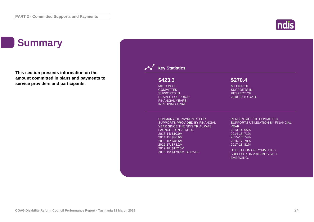### **Summary**

**This section presents information on the amount committed in plans and payments to service providers and participants.**



**Indis**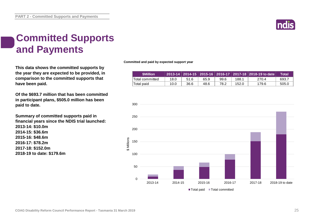

### **Committed Supports and Payments**

**This data shows the committed supports by the year they are expected to be provided, in comparison to the committed supports that have been paid.**

**Of the \$693.7 million that has been committed in participant plans, \$505.0 million has been paid to date.**

**Summary of committed supports paid in financial years since the NDIS trial launched: 2013-14: \$10.0m 2014-15: \$36.6m 2015-16: \$48.6m 2016-17: \$78.2m 2017-18: \$152.0m 2018-19 to date: \$179.6m**

**Committed and paid by expected support year**

| <b>SMillion</b> |      |      |      |      |       | 2013-14   2014-15   2015-16   2016-17   2017-18   2018-19 to date | Total |
|-----------------|------|------|------|------|-------|-------------------------------------------------------------------|-------|
| Total committed | 18.0 | 51.6 | 65.9 | 99.6 | 188.1 | 270.4                                                             | 693.7 |
| Total paid      | 10.0 | 36.6 | 48.6 | 78.2 | 152.0 | 179.6                                                             | 505.0 |

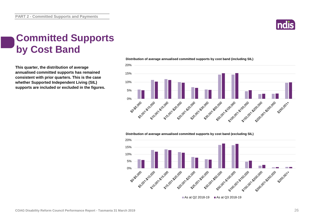

#### **Committed Supports by Cost Band**

**This quarter, the distribution of average annualised committed supports has remained consistent with prior quarters. This is the case whether Supported Independent Living (SIL) supports are included or excluded in the figures.** **Distribution of average annualised committed supports by cost band (including SIL)** 



**Distribution of average annualised committed supports by cost band (excluding SIL)** 

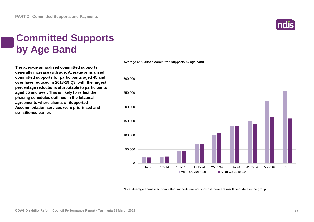

### **Committed Supports by Age Band**

**The average annualised committed supports generally increase with age. Average annualised committed supports for participants aged 45 and over have reduced in 2018-19 Q3, with the largest percentage reductions attributable to participants aged 55 and over. This is likely to reflect the phasing schedules outlined in the bilateral agreements where clients of Supported Accommodation services were prioritised and transitioned earlier.**

#### **Average annualised committed supports by age band**



Note: Average annualised committed supports are not shown if there are insufficient data in the group.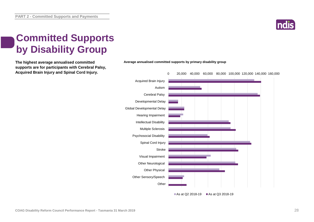

### **Committed Supports by Disability Group**

**supports are for participants with Cerebral Palsy, Acquired Brain Injury and Spinal Cord Injury.**



**The highest average annualised committed Average annualised committed supports by primary disability group**

As at Q2 2018-19 As at Q3 2018-19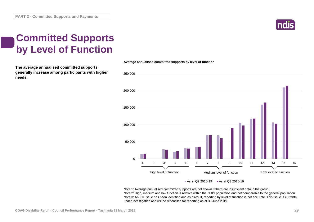

### **Committed Supports by Level of Function**

**The average annualised committed supports generally increase among participants with higher needs.**



#### As at Q2 2018-19  $\blacksquare$  As at Q3 2018-19

Note 1: Average annualised committed supports are not shown if there are insufficient data in the group. Note 2: High, medium and low function is relative within the NDIS population and not comparable to the general population. Note 3: An ICT issue has been identified and as a result, reporting by level of function is not accurate. This issue is currently under investigation and will be reconciled for reporting as at 30 June 2019.

#### **Average annualised committed supports by level of function**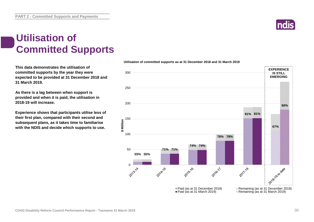### **Utilisation of Committed Supports**

**This data demonstrates the utilisation of committed supports by the year they were expected to be provided at 31 December 2018 and 31 March 2019.** 

**As there is a lag between when support is provided and when it is paid, the utilisation in 2018-19 will increase.**

**Experience shows that participants utilise less of their first plan, compared with their second and subsequent plans, as it takes time to familiarise with the NDIS and decide which supports to use.** 

#### **Utilisation of committed supports as at 31 December 2018 and 31 March 2019**



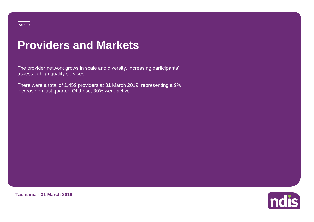#### PART 3

### **Providers and Markets**

The provider network grows in scale and diversity, increasing participants' access to high quality services.

There were a total of 1,459 providers at 31 March 2019, representing a 9% increase on last quarter. Of these, 30% were active.



**Tasmania - 31 March 2019**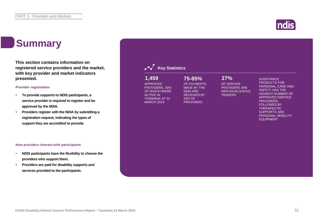### **Summary**

**This section contains information on registered service providers and the market, with key provider and market indicators presented.**

#### **Provider registration**

- **To provide supports to NDIS participants, a service provider is required to register and be approved by the NDIA.**
- **Providers register with the NDIA by submitting a registration request, indicating the types of support they are accredited to provide.**

#### **How providers interact with participants**

- **NDIS participants have the flexibility to choose the providers who support them.**
- **Providers are paid for disability supports and services provided to the participants.**

| 1,459<br><b>APPROVED</b><br>PROVIDERS, 30%<br>OF WHICH WERE<br><b>ACTIVE IN</b><br><b>TASMANIA AT 31</b><br><b>MARCH 2019</b> | 75-85%<br>OF PAYMENTS<br><b>MADE BY THE</b><br><b>NDIA ARE</b><br><b>RECEIVED BY</b><br>25% OF<br><b>PROVIDERS</b> | 27%<br>OF SERVICE<br><b>PROVIDERS ARE</b><br><b>INDIVIDUALS/SOLE</b><br><b>TRADERS</b> | <b>ASSISTANCE</b><br><b>PRODUCTS FOR</b><br>PERSONAL CARE AND<br><b>SAFETY HAS THE</b><br><b>HIGHEST NUMBER OF</b><br><b>APPROVED SERVICE</b><br>PROVIDERS.<br><b>FOLLOWED BY</b><br><b>THERAPEUTIC</b><br><b>SUPPORTS AND</b><br>PERSONAL MOBILITY<br><b>EQUIPMENT</b> |
|-------------------------------------------------------------------------------------------------------------------------------|--------------------------------------------------------------------------------------------------------------------|----------------------------------------------------------------------------------------|-------------------------------------------------------------------------------------------------------------------------------------------------------------------------------------------------------------------------------------------------------------------------|
|-------------------------------------------------------------------------------------------------------------------------------|--------------------------------------------------------------------------------------------------------------------|----------------------------------------------------------------------------------------|-------------------------------------------------------------------------------------------------------------------------------------------------------------------------------------------------------------------------------------------------------------------------|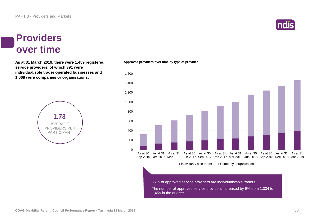

#### **Providers over time**

As at 31 March 2019, there were 1,459 registered **Approved providers over time by type of provider service providers, of which 391 were individual/sole trader operated businesses and 1,068 were companies or organisations.**



 $\Omega$ 200 400 600 800 1,000 1,200 1,400 As at 30 As at 31 As at 31 As at 30 As at 30 As at 31 As at 31 As at 30 As at 30 As at 31 As at 31 Sep 2016 Dec 2016 Mar 2017 Jun 2017 Sep 2017 Dec 2017 Mar 2018 Jun 2018 Sep 2018 Dec 2018 Mar 2019  $\blacksquare$ Individual / sole trader  $\blacksquare$  Company / organisation 27% of approved service providers are individuals/sole traders.

> The number of approved service providers increased by 9% from 1,334 to 1,459 in the quarter.

1,600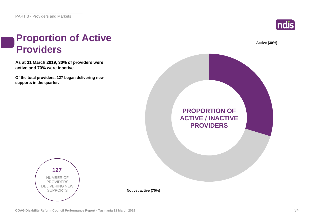

**Active (30%)**

#### **Proportion of Active Providers**

**As at 31 March 2019, 30% of providers were active and 70% were inactive.**

**Of the total providers, 127 began delivering new supports in the quarter.**





**Not yet active (70%)**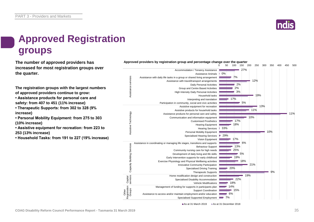

### **Approved Registration groups**

**The number of approved providers has** *Approved providers by registration group and percentage change over the quarter***<br>
2 150 150 150 160 150 2 increased for most registration groups over the quarter.**

**The registration groups with the largest numbers of approved providers continue to grow:**

**• Assistance products for personal care and safety: from 407 to 451 (11% increase)**

**• Therapeutic Supports: from 302 to 328 (9% increase)**

**• Personal Mobility Equipment: from 275 to 303 (10% increase)**

**• Assistive equipment for recreation: from 223 to 253 (13% increase)**

**• Household Tasks: from 191 to 227 (19% increase)**



As at 31 March 2019 As at 31 December 2018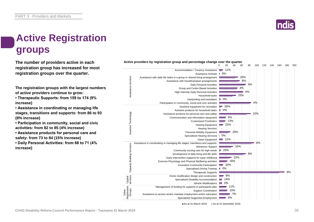### **Active Registration groups**

**The number of providers active in each registration group has increased for most registration groups over the quarter.**

**The registration groups with the largest numbers of active providers continue to grow:**

**• Therapeutic Supports: from 159 to 174 (9% increase)**

**• Assistance in coordinating or managing life stages, transitions and supports: from 86 to 93 (8% increase)**

**• Participation in community, social and civic activities: from 82 to 85 (4% increase)**

**• Assistance products for personal care and safety: from 73 to 84 (15% increase)**

**• Daily Personal Activities: from 68 to 71 (4% increase)**



As at 31 March 2019 As at 31 December 2018

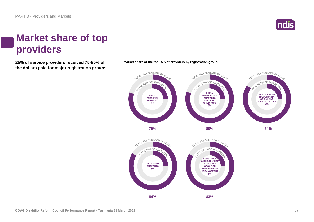

#### **Market share of top providers**

**25% of service providers received 75-85% of the dollars paid for major registration groups.**





**Market share of the top 25% of providers by registration group.**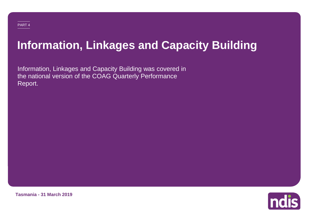# **Information, Linkages and Capacity Building**

Information, Linkages and Capacity Building was covered in the national version of the COAG Quarterly Performance Report.



**Tasmania - 31 March 2019**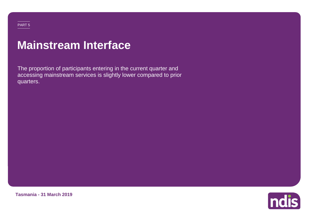#### PART 5

### **Mainstream Interface**

The proportion of participants entering in the current quarter and accessing mainstream services is slightly lower compared to prior quarters.



**Tasmania - 31 March 2019**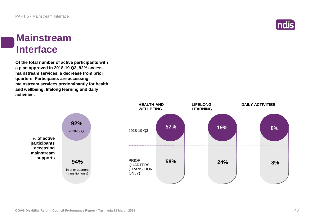

#### **Mainstream Interface**

**Of the total number of active participants with a plan approved in 2018-19 Q3, 92% access mainstream services, a decrease from prior quarters. Participants are accessing mainstream services predominantly for health and wellbeing, lifelong learning and daily activities.**